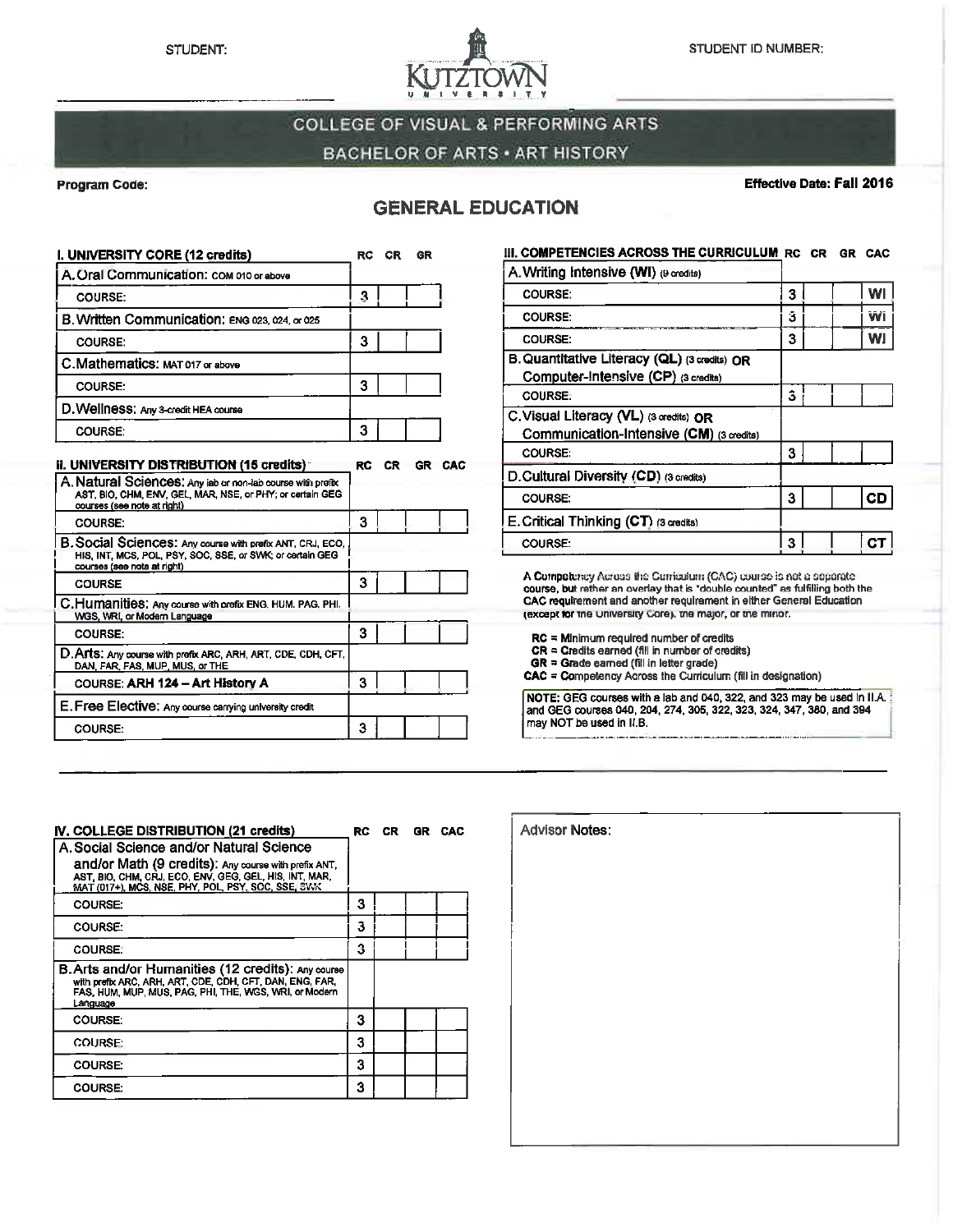

# **COLLEGE OF VISUAL & PERFORMING ARTS BACHELOR OF ARTS · ART HISTORY**

#### **Program Code:**

**COURSE** 

**COURSE:** 

**COURSE:** 

#### Effective Date: Fall 2016

## **GENERAL EDUCATION**

| I. UNIVERSITY CORE (12 credits)                                                                                                                        | RC | СR  | GR |     |
|--------------------------------------------------------------------------------------------------------------------------------------------------------|----|-----|----|-----|
| A. Oral Communication: COM 010 or above                                                                                                                |    |     |    |     |
| <b>COURSE:</b>                                                                                                                                         | 3  |     |    |     |
| B. Written Communication: ENG 023, 024, or 025                                                                                                         |    |     |    |     |
| <b>COURSE:</b>                                                                                                                                         | 3  |     |    |     |
| I C. Mathematics: мат 017 or above                                                                                                                     |    |     |    |     |
| <b>COURSE:</b>                                                                                                                                         | 3  |     |    |     |
| D. Wellness: Any 3-credit HEA course                                                                                                                   |    |     |    |     |
| <b>COURSE:</b>                                                                                                                                         | 3  |     |    |     |
| ii. UNIVERSITY DISTRIBUTION (15 credits)                                                                                                               | RC | CR. | GR | CAC |
| A. Natural Sciences: Any isb or non-lab course with prefix<br>AST, BIO, CHM, ENV, GEL, MAR, NSE, or PHY; or certain GEG<br>courses (see note at right) |    |     |    |     |
| COURSE:                                                                                                                                                | ٩  |     |    |     |

3

 $\overline{\mathbf{3}}$ 

3

3

B. Social Sciences: Any course with prefix ANT, CRJ, ECO,<br>HIS, INT, MCS, POL, PSY, SOC, SSE, or SWK; or cartain GEG<br>courses (see note at right)

C.Humanities: Any course with prefix ENG, HUM. PAG, PHI.<br>WGS, WRI, or Modern Language

D. Arts: Any course with prefix ARC, ARH, ART, CDE, CDH, CFT<br>DAN, FAR, FAS, MUP, MUS, or THE

COURSE: ARH 124 - Art History A

E. Free Elective: Any course carrying university credit

| III, COMPETENCIES ACROSS THE CURRICULUM RC CR GR                                    |   |  | CAC |
|-------------------------------------------------------------------------------------|---|--|-----|
| A. Writing Intensive (WI) (9 credits)                                               |   |  |     |
| <b>COURSE:</b>                                                                      | 3 |  | WI  |
| <b>COURSE</b>                                                                       | Ĵ |  | Wi  |
| <b>COURSE:</b>                                                                      | 3 |  | WI  |
| B. Quantitative Literacy (QL) (3 credits) OR<br>Computer-Intensive (CP) (3 credits) |   |  |     |
| COURSE.                                                                             | 3 |  |     |
| C. Visual Literacy (VL) (3 credits) OR<br>Communication-Intensive (CM) (3 credits)  |   |  |     |
| <b>COURSE:</b>                                                                      | 3 |  |     |
| D. Cultural Diversity (CD) (3 credits)                                              |   |  |     |
| <b>COURSE:</b>                                                                      | 3 |  | CD  |
| E. Critical Thinking (CT) ദ്രcredits)                                               |   |  |     |
| <b>COURSE.</b>                                                                      | 3 |  |     |

A Competency Across the Curriculum (CAC) course is not a separate course, but rather an overlay that is "double counted" as fulfilling both the<br>CAC requirement and another requirement in either General Education (except for the University Core), the major, or the mirior.

- $RC =$  Minimum required number of credits
- $CR =$  Credits earned (fill in number of credits)<br> $GR =$  Gradits earned (fill in number of credits)<br> $GR =$  Grade earned (fill in letter grade)
- 

CAC = Competency Across the Curriculum (fill in designation)

NOTE: GEG courses with a lab and 040, 322, and 323 may be used in II.A. and GEG courses 040, 204, 274, 305, 322, 323, 324, 347, 380, and 394 may NOT be used in II.B.

| IV, COLLEGE DISTRIBUTION (21 credits)                                                                                                                                                                            |   | RC CR GR CAC |  |
|------------------------------------------------------------------------------------------------------------------------------------------------------------------------------------------------------------------|---|--------------|--|
| A. Social Science and/or Natural Science<br>and/or Math (9 credits): Any course with prefix ANT,<br>AST, BIO, CHM, CRJ, ECO, ENV, GEG, GEL, HIS, INT, MAR,<br>MAT (017+), MCS, NSE, PHY, POL, PSY, SOC, SSE, SWK |   |              |  |
| COURSE:                                                                                                                                                                                                          | з |              |  |
| <b>COURSE:</b>                                                                                                                                                                                                   | 3 |              |  |
| COURSE.                                                                                                                                                                                                          | 3 |              |  |
| <b>B. Arts and/or Humanities (12 credits): Any course</b><br>with prefix ARC, ARH, ART, CDE, CDH, CFT, DAN, ENG, FAR,<br>FAS, HUM, MUP, MUS, PAG, PHI, THE, WGS, WRI, or Modern<br>Language                      |   |              |  |
| <b>COURSE:</b>                                                                                                                                                                                                   | 3 |              |  |
| <b>COURSE:</b>                                                                                                                                                                                                   | 3 |              |  |
| <b>COURSE:</b>                                                                                                                                                                                                   | 3 |              |  |
| <b>COURSE:</b>                                                                                                                                                                                                   | 3 |              |  |

| <b>Advisor Notes:</b> |  |  |
|-----------------------|--|--|
|                       |  |  |
|                       |  |  |
|                       |  |  |
|                       |  |  |
|                       |  |  |
|                       |  |  |
|                       |  |  |
|                       |  |  |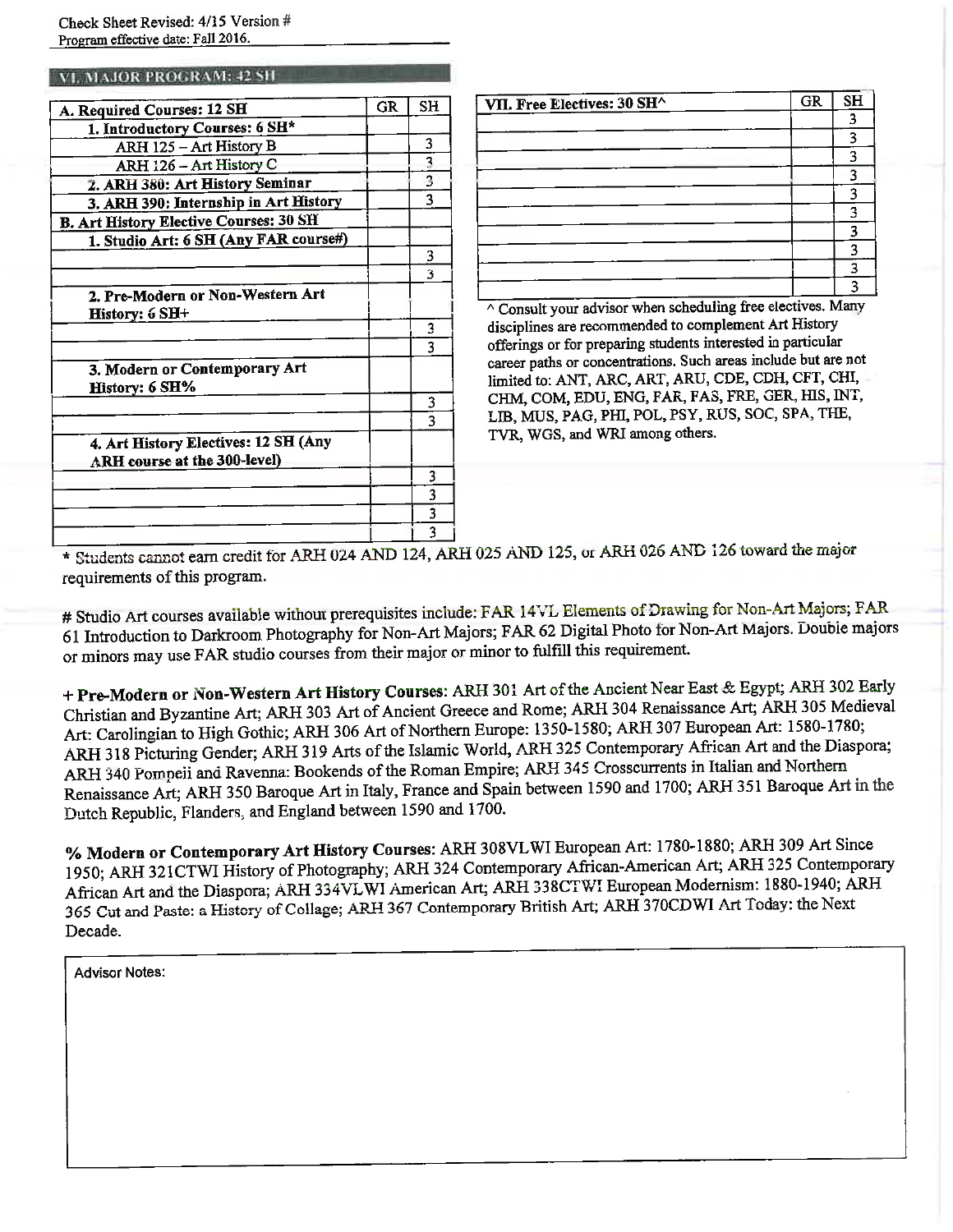Check Sheet Revised: 4/15 Version # Program effective date: Fall 2016.

#### VI. MAJOR PROGRAM: 42 SH

| A. Required Courses: 12 SH                                           | <b>GR</b> | <b>SH</b>               |
|----------------------------------------------------------------------|-----------|-------------------------|
| 1. Introductory Courses: 6 SH*                                       |           |                         |
| ARH 125 - Art History B                                              |           | 3                       |
| ARH 126 - Art History C                                              |           | $\overline{\mathbf{3}}$ |
| 2. ARH 380: Art History Seminar                                      |           | 3                       |
| 3. ARH 390: Internship in Art History                                |           | 3                       |
| <b>B. Art History Elective Courses: 30 SH</b>                        |           |                         |
| 1. Studio Art: 6 SH (Any FAR course#)                                |           |                         |
|                                                                      |           | 3                       |
|                                                                      |           | ٩                       |
| 2. Pre-Modern or Non-Western Art<br>History: 6 SH+                   |           |                         |
|                                                                      |           | 3                       |
|                                                                      |           | ٩                       |
| 3. Modern or Contemporary Art<br>History: 6 SH%                      |           |                         |
|                                                                      |           | 3                       |
|                                                                      |           | ٦                       |
| 4. Art History Electives: 12 SH (Any<br>ARH course at the 300-level) |           |                         |
|                                                                      |           | 3                       |
|                                                                      |           | 3                       |
|                                                                      |           | 3                       |
|                                                                      |           | 3                       |

| VII. Free Electives: 30 SH^       | GR               | SH  |
|-----------------------------------|------------------|-----|
|                                   |                  | ว   |
|                                   |                  | o   |
|                                   |                  | о   |
|                                   |                  | я   |
|                                   |                  | o   |
|                                   |                  | α   |
|                                   |                  |     |
|                                   |                  |     |
|                                   |                  |     |
|                                   |                  |     |
| - - -<br>$\overline{\phantom{a}}$ | $\sim$<br>$\sim$ | . . |

 $\overline{\wedge}$  Consult your advisor when scheduling free electives. Many disciplines are recommended to complement Art History offerings or for preparing students interested in particular career paths or concentrations. Such areas include but are not limited to: ANT, ARC, ART, ARU, CDE, CDH, CFT, CHI, CHM, COM, EDU, ENG, FAR, FAS, FRE, GER, HIS, INT, LIB, MUS, PAG, PHI, POL, PSY, RUS, SOC, SPA, THE, TVR, WGS, and WRI among others.

\* Students cannot earn credit for ARH 024 AND 124, ARH 025 AND 125, or ARH 026 AND 126 toward the major requirements of this program.

# Studio Art courses available without prerequisites include: FAR 14VL Elements of Drawing for Non-Art Majors; FAR 61 Introduction to Darkroom Photography for Non-Art Majors; FAR 62 Digital Photo for Non-Art Majors. Double majors or minors may use FAR studio courses from their major or minor to fulfill this requirement.

+ Pre-Modern or Non-Western Art History Courses: ARH 301 Art of the Ancient Near East & Egypt; ARH 302 Early Christian and Byzantine Art; ARH 303 Art of Ancient Greece and Rome; ARH 304 Renaissance Art; ARH 305 Medieval Art: Carolingian to High Gothic; ARH 306 Art of Northern Europe: 1350-1580; ARH 307 European Art: 1580-1780; ARH 318 Picturing Gender; ARH 319 Arts of the Islamic World, ARH 325 Contemporary African Art and the Diaspora; ARH 340 Pompeii and Ravenna: Bookends of the Roman Empire; ARH 345 Crosscurrents in Italian and Northern Renaissance Art; ARH 350 Baroque Art in Italy, France and Spain between 1590 and 1700; ARH 351 Baroque Art in the Dutch Republic, Flanders, and England between 1590 and 1700.

% Modern or Contemporary Art History Courses: ARH 308VLWI European Art: 1780-1880; ARH 309 Art Since 1950; ARH 321CTWI History of Photography; ARH 324 Contemporary African-American Art; ARH 325 Contemporary African Art and the Diaspora; ARH 334VLWI American Art; ARH 338CTWI European Modernism: 1880-1940; ARH 365 Cut and Paste: a History of Collage; ARH 367 Contemporary British Art; ARH 370CDWI Art Today: the Next Decade.

**Advisor Notes:**